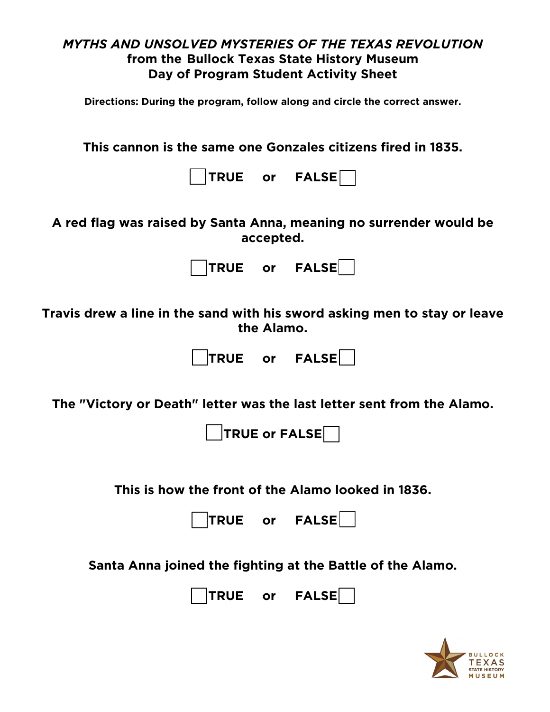## *MYTHS AND UNSOLVED MYSTERIES OF THE TEXAS REVOLUTION* **from the [Bullock Texas State History Museum](https://www.thestoryoftexas.com/education/distance-learning) Day of Program Student Activity Sheet Directions: During the program, follow along and circle the correct answer. This cannon is the same one Gonzales citizens fired in 1835. TRUE or FALSE A red flag was raised by Santa Anna, meaning no surrender would be accepted. TRUE or FALSE Travis drew a line in the sand with his sword asking men to stay or leave the Alamo. TRUE or FALSE The "Victory or Death" letter was the last letter sent from the Alamo. TRUE or FALSE This is how the front of the Alamo looked in 1836. TRUE or FALSE Santa Anna joined the fighting at the Battle of the Alamo.**  TRUE or FALSE